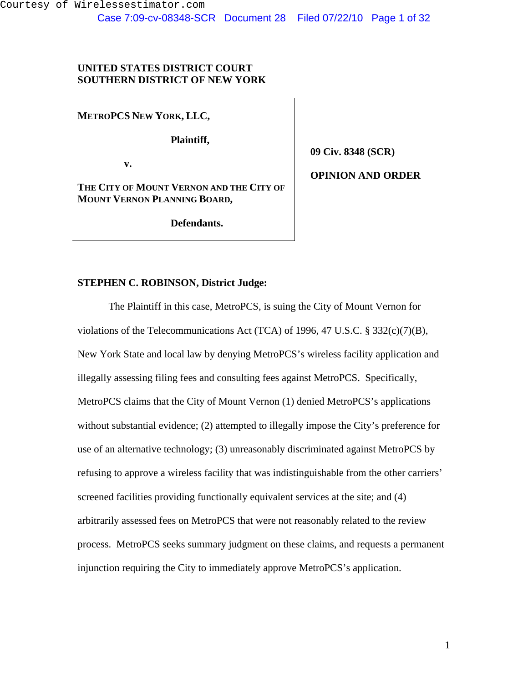## **UNITED STATES DISTRICT COURT SOUTHERN DISTRICT OF NEW YORK**

**METROPCS NEW YORK, LLC,** 

 **Plaintiff,** 

 **v.** 

**THE CITY OF MOUNT VERNON AND THE CITY OF MOUNT VERNON PLANNING BOARD,** 

 **Defendants.** 

**09 Civ. 8348 (SCR)** 

**OPINION AND ORDER** 

## **STEPHEN C. ROBINSON, District Judge:**

The Plaintiff in this case, MetroPCS, is suing the City of Mount Vernon for violations of the Telecommunications Act (TCA) of 1996, 47 U.S.C. § 332(c)(7)(B), New York State and local law by denying MetroPCS's wireless facility application and illegally assessing filing fees and consulting fees against MetroPCS. Specifically, MetroPCS claims that the City of Mount Vernon (1) denied MetroPCS's applications without substantial evidence; (2) attempted to illegally impose the City's preference for use of an alternative technology; (3) unreasonably discriminated against MetroPCS by refusing to approve a wireless facility that was indistinguishable from the other carriers' screened facilities providing functionally equivalent services at the site; and (4) arbitrarily assessed fees on MetroPCS that were not reasonably related to the review process. MetroPCS seeks summary judgment on these claims, and requests a permanent injunction requiring the City to immediately approve MetroPCS's application.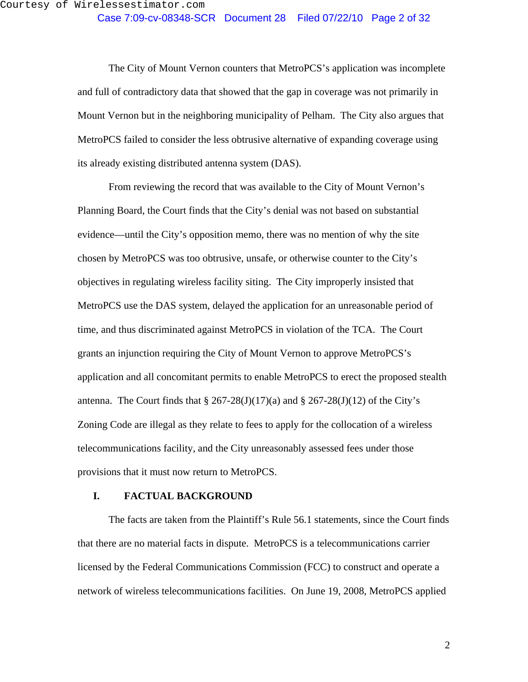The City of Mount Vernon counters that MetroPCS's application was incomplete and full of contradictory data that showed that the gap in coverage was not primarily in Mount Vernon but in the neighboring municipality of Pelham. The City also argues that MetroPCS failed to consider the less obtrusive alternative of expanding coverage using its already existing distributed antenna system (DAS).

From reviewing the record that was available to the City of Mount Vernon's Planning Board, the Court finds that the City's denial was not based on substantial evidence—until the City's opposition memo, there was no mention of why the site chosen by MetroPCS was too obtrusive, unsafe, or otherwise counter to the City's objectives in regulating wireless facility siting. The City improperly insisted that MetroPCS use the DAS system, delayed the application for an unreasonable period of time, and thus discriminated against MetroPCS in violation of the TCA. The Court grants an injunction requiring the City of Mount Vernon to approve MetroPCS's application and all concomitant permits to enable MetroPCS to erect the proposed stealth antenna. The Court finds that  $\S 267-28(J)(17)(a)$  and  $\S 267-28(J)(12)$  of the City's Zoning Code are illegal as they relate to fees to apply for the collocation of a wireless telecommunications facility, and the City unreasonably assessed fees under those provisions that it must now return to MetroPCS.

### **I. FACTUAL BACKGROUND**

The facts are taken from the Plaintiff's Rule 56.1 statements, since the Court finds that there are no material facts in dispute. MetroPCS is a telecommunications carrier licensed by the Federal Communications Commission (FCC) to construct and operate a network of wireless telecommunications facilities. On June 19, 2008, MetroPCS applied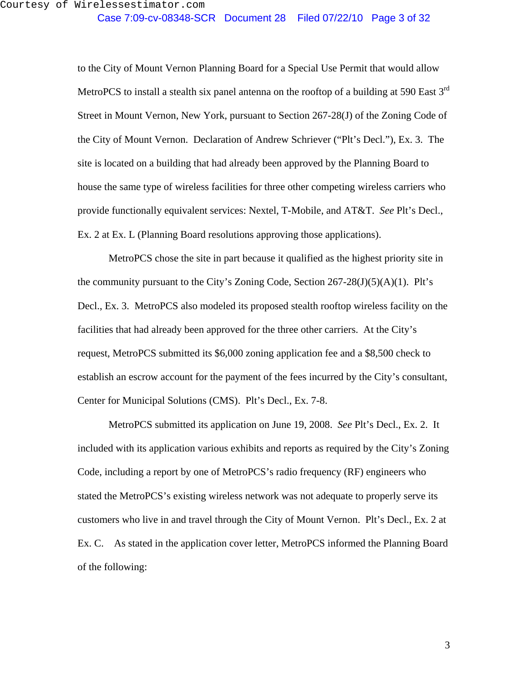to the City of Mount Vernon Planning Board for a Special Use Permit that would allow MetroPCS to install a stealth six panel antenna on the rooftop of a building at 590 East 3<sup>rd</sup> Street in Mount Vernon, New York, pursuant to Section 267-28(J) of the Zoning Code of the City of Mount Vernon. Declaration of Andrew Schriever ("Plt's Decl."), Ex. 3. The site is located on a building that had already been approved by the Planning Board to house the same type of wireless facilities for three other competing wireless carriers who provide functionally equivalent services: Nextel, T-Mobile, and AT&T. *See* Plt's Decl., Ex. 2 at Ex. L (Planning Board resolutions approving those applications).

MetroPCS chose the site in part because it qualified as the highest priority site in the community pursuant to the City's Zoning Code, Section  $267-28(J)(5)(A)(1)$ . Plt's Decl., Ex. 3. MetroPCS also modeled its proposed stealth rooftop wireless facility on the facilities that had already been approved for the three other carriers. At the City's request, MetroPCS submitted its \$6,000 zoning application fee and a \$8,500 check to establish an escrow account for the payment of the fees incurred by the City's consultant, Center for Municipal Solutions (CMS). Plt's Decl., Ex. 7-8.

MetroPCS submitted its application on June 19, 2008. *See* Plt's Decl., Ex. 2. It included with its application various exhibits and reports as required by the City's Zoning Code, including a report by one of MetroPCS's radio frequency (RF) engineers who stated the MetroPCS's existing wireless network was not adequate to properly serve its customers who live in and travel through the City of Mount Vernon. Plt's Decl., Ex. 2 at Ex. C. As stated in the application cover letter, MetroPCS informed the Planning Board of the following: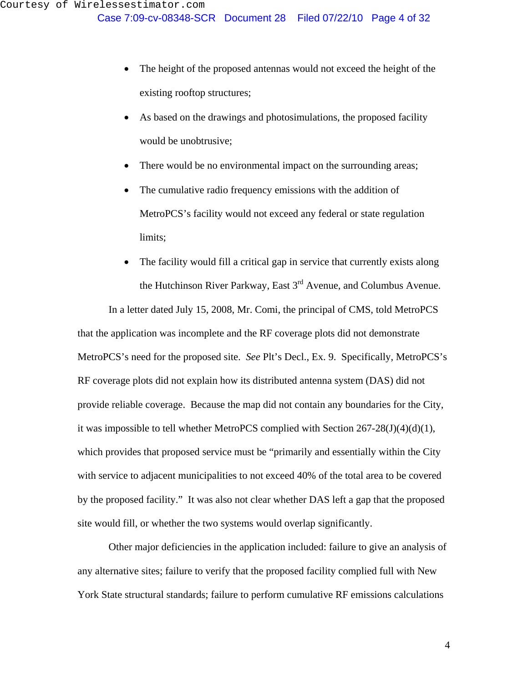- The height of the proposed antennas would not exceed the height of the existing rooftop structures;
- As based on the drawings and photosimulations, the proposed facility would be unobtrusive;
- There would be no environmental impact on the surrounding areas;
- The cumulative radio frequency emissions with the addition of MetroPCS's facility would not exceed any federal or state regulation limits;
- The facility would fill a critical gap in service that currently exists along the Hutchinson River Parkway, East 3<sup>rd</sup> Avenue, and Columbus Avenue.

In a letter dated July 15, 2008, Mr. Comi, the principal of CMS, told MetroPCS that the application was incomplete and the RF coverage plots did not demonstrate MetroPCS's need for the proposed site. *See* Plt's Decl., Ex. 9. Specifically, MetroPCS's RF coverage plots did not explain how its distributed antenna system (DAS) did not provide reliable coverage. Because the map did not contain any boundaries for the City, it was impossible to tell whether MetroPCS complied with Section 267-28(J)(4)(d)(1), which provides that proposed service must be "primarily and essentially within the City with service to adjacent municipalities to not exceed 40% of the total area to be covered by the proposed facility." It was also not clear whether DAS left a gap that the proposed site would fill, or whether the two systems would overlap significantly.

Other major deficiencies in the application included: failure to give an analysis of any alternative sites; failure to verify that the proposed facility complied full with New York State structural standards; failure to perform cumulative RF emissions calculations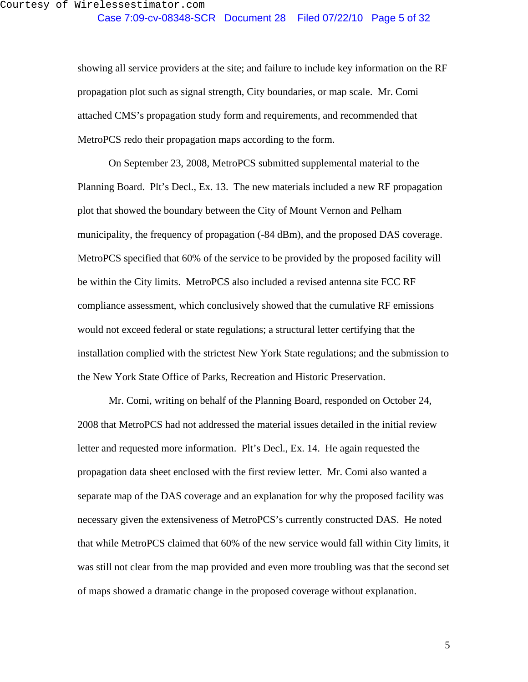showing all service providers at the site; and failure to include key information on the RF propagation plot such as signal strength, City boundaries, or map scale. Mr. Comi attached CMS's propagation study form and requirements, and recommended that MetroPCS redo their propagation maps according to the form.

On September 23, 2008, MetroPCS submitted supplemental material to the Planning Board. Plt's Decl., Ex. 13. The new materials included a new RF propagation plot that showed the boundary between the City of Mount Vernon and Pelham municipality, the frequency of propagation (-84 dBm), and the proposed DAS coverage. MetroPCS specified that 60% of the service to be provided by the proposed facility will be within the City limits. MetroPCS also included a revised antenna site FCC RF compliance assessment, which conclusively showed that the cumulative RF emissions would not exceed federal or state regulations; a structural letter certifying that the installation complied with the strictest New York State regulations; and the submission to the New York State Office of Parks, Recreation and Historic Preservation.

Mr. Comi, writing on behalf of the Planning Board, responded on October 24, 2008 that MetroPCS had not addressed the material issues detailed in the initial review letter and requested more information. Plt's Decl., Ex. 14. He again requested the propagation data sheet enclosed with the first review letter. Mr. Comi also wanted a separate map of the DAS coverage and an explanation for why the proposed facility was necessary given the extensiveness of MetroPCS's currently constructed DAS. He noted that while MetroPCS claimed that 60% of the new service would fall within City limits, it was still not clear from the map provided and even more troubling was that the second set of maps showed a dramatic change in the proposed coverage without explanation.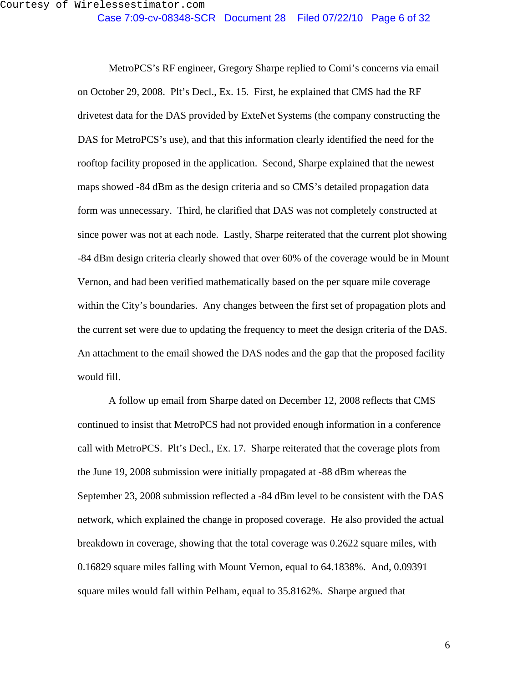MetroPCS's RF engineer, Gregory Sharpe replied to Comi's concerns via email on October 29, 2008. Plt's Decl., Ex. 15. First, he explained that CMS had the RF drivetest data for the DAS provided by ExteNet Systems (the company constructing the DAS for MetroPCS's use), and that this information clearly identified the need for the rooftop facility proposed in the application. Second, Sharpe explained that the newest maps showed -84 dBm as the design criteria and so CMS's detailed propagation data form was unnecessary. Third, he clarified that DAS was not completely constructed at since power was not at each node. Lastly, Sharpe reiterated that the current plot showing -84 dBm design criteria clearly showed that over 60% of the coverage would be in Mount Vernon, and had been verified mathematically based on the per square mile coverage within the City's boundaries. Any changes between the first set of propagation plots and the current set were due to updating the frequency to meet the design criteria of the DAS. An attachment to the email showed the DAS nodes and the gap that the proposed facility would fill.

A follow up email from Sharpe dated on December 12, 2008 reflects that CMS continued to insist that MetroPCS had not provided enough information in a conference call with MetroPCS. Plt's Decl., Ex. 17. Sharpe reiterated that the coverage plots from the June 19, 2008 submission were initially propagated at -88 dBm whereas the September 23, 2008 submission reflected a -84 dBm level to be consistent with the DAS network, which explained the change in proposed coverage. He also provided the actual breakdown in coverage, showing that the total coverage was 0.2622 square miles, with 0.16829 square miles falling with Mount Vernon, equal to 64.1838%. And, 0.09391 square miles would fall within Pelham, equal to 35.8162%. Sharpe argued that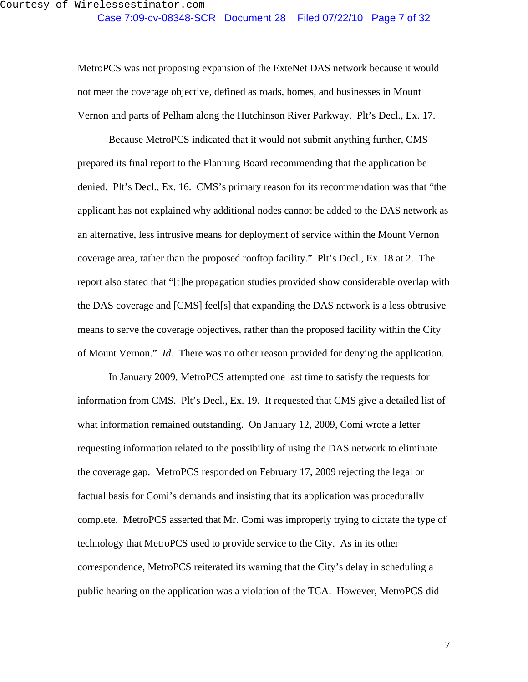MetroPCS was not proposing expansion of the ExteNet DAS network because it would not meet the coverage objective, defined as roads, homes, and businesses in Mount Vernon and parts of Pelham along the Hutchinson River Parkway. Plt's Decl., Ex. 17.

Because MetroPCS indicated that it would not submit anything further, CMS prepared its final report to the Planning Board recommending that the application be denied. Plt's Decl., Ex. 16. CMS's primary reason for its recommendation was that "the applicant has not explained why additional nodes cannot be added to the DAS network as an alternative, less intrusive means for deployment of service within the Mount Vernon coverage area, rather than the proposed rooftop facility." Plt's Decl., Ex. 18 at 2. The report also stated that "[t]he propagation studies provided show considerable overlap with the DAS coverage and [CMS] feel[s] that expanding the DAS network is a less obtrusive means to serve the coverage objectives, rather than the proposed facility within the City of Mount Vernon." *Id.* There was no other reason provided for denying the application.

In January 2009, MetroPCS attempted one last time to satisfy the requests for information from CMS. Plt's Decl., Ex. 19. It requested that CMS give a detailed list of what information remained outstanding. On January 12, 2009, Comi wrote a letter requesting information related to the possibility of using the DAS network to eliminate the coverage gap. MetroPCS responded on February 17, 2009 rejecting the legal or factual basis for Comi's demands and insisting that its application was procedurally complete. MetroPCS asserted that Mr. Comi was improperly trying to dictate the type of technology that MetroPCS used to provide service to the City. As in its other correspondence, MetroPCS reiterated its warning that the City's delay in scheduling a public hearing on the application was a violation of the TCA. However, MetroPCS did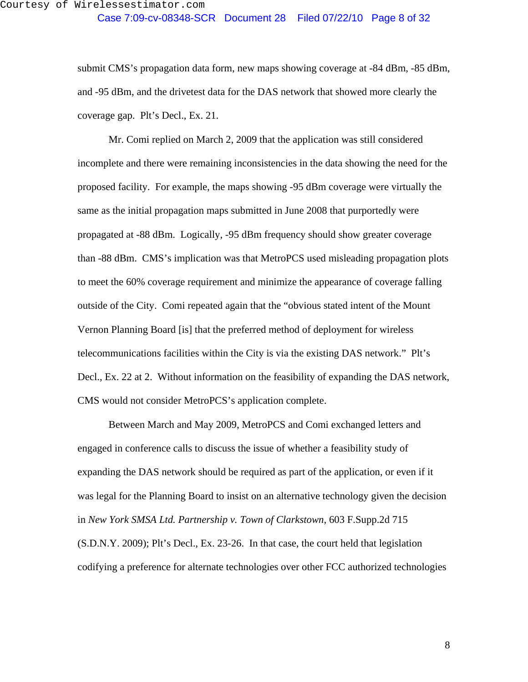submit CMS's propagation data form, new maps showing coverage at -84 dBm, -85 dBm, and -95 dBm, and the drivetest data for the DAS network that showed more clearly the coverage gap. Plt's Decl., Ex. 21.

Mr. Comi replied on March 2, 2009 that the application was still considered incomplete and there were remaining inconsistencies in the data showing the need for the proposed facility. For example, the maps showing -95 dBm coverage were virtually the same as the initial propagation maps submitted in June 2008 that purportedly were propagated at -88 dBm. Logically, -95 dBm frequency should show greater coverage than -88 dBm. CMS's implication was that MetroPCS used misleading propagation plots to meet the 60% coverage requirement and minimize the appearance of coverage falling outside of the City. Comi repeated again that the "obvious stated intent of the Mount Vernon Planning Board [is] that the preferred method of deployment for wireless telecommunications facilities within the City is via the existing DAS network." Plt's Decl., Ex. 22 at 2. Without information on the feasibility of expanding the DAS network, CMS would not consider MetroPCS's application complete.

Between March and May 2009, MetroPCS and Comi exchanged letters and engaged in conference calls to discuss the issue of whether a feasibility study of expanding the DAS network should be required as part of the application, or even if it was legal for the Planning Board to insist on an alternative technology given the decision in *New York SMSA Ltd. Partnership v. Town of Clarkstown*, 603 F.Supp.2d 715 (S.D.N.Y. 2009); Plt's Decl., Ex. 23-26. In that case, the court held that legislation codifying a preference for alternate technologies over other FCC authorized technologies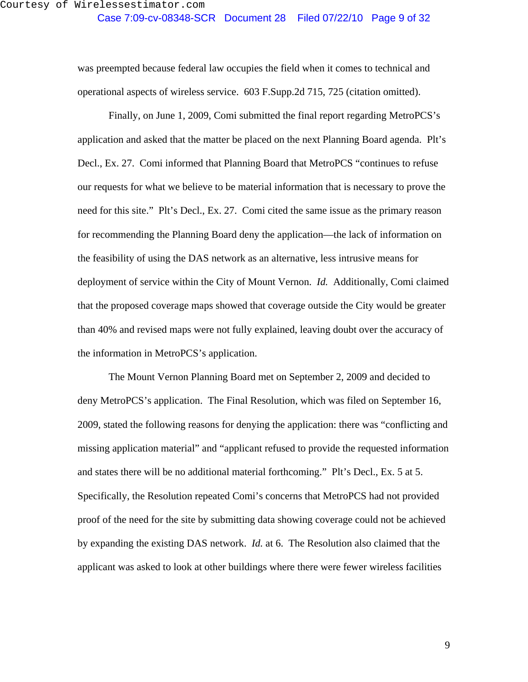was preempted because federal law occupies the field when it comes to technical and operational aspects of wireless service. 603 F.Supp.2d 715, 725 (citation omitted).

Finally, on June 1, 2009, Comi submitted the final report regarding MetroPCS's application and asked that the matter be placed on the next Planning Board agenda. Plt's Decl., Ex. 27. Comi informed that Planning Board that MetroPCS "continues to refuse our requests for what we believe to be material information that is necessary to prove the need for this site." Plt's Decl., Ex. 27. Comi cited the same issue as the primary reason for recommending the Planning Board deny the application—the lack of information on the feasibility of using the DAS network as an alternative, less intrusive means for deployment of service within the City of Mount Vernon. *Id.* Additionally, Comi claimed that the proposed coverage maps showed that coverage outside the City would be greater than 40% and revised maps were not fully explained, leaving doubt over the accuracy of the information in MetroPCS's application.

The Mount Vernon Planning Board met on September 2, 2009 and decided to deny MetroPCS's application. The Final Resolution, which was filed on September 16, 2009, stated the following reasons for denying the application: there was "conflicting and missing application material" and "applicant refused to provide the requested information and states there will be no additional material forthcoming." Plt's Decl., Ex. 5 at 5. Specifically, the Resolution repeated Comi's concerns that MetroPCS had not provided proof of the need for the site by submitting data showing coverage could not be achieved by expanding the existing DAS network. *Id.* at 6. The Resolution also claimed that the applicant was asked to look at other buildings where there were fewer wireless facilities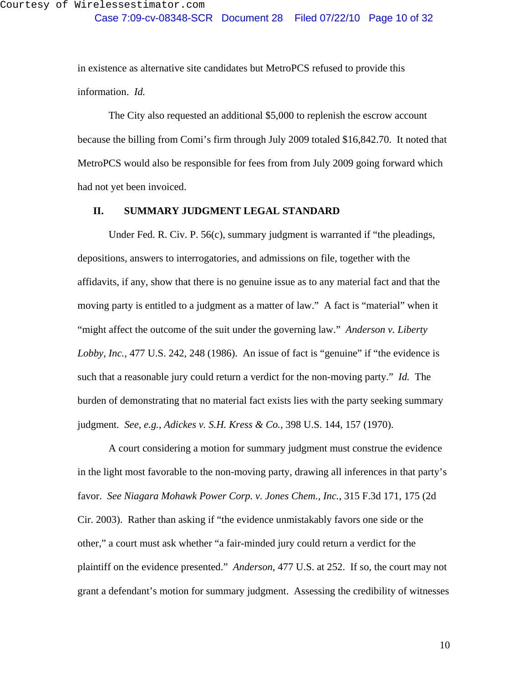in existence as alternative site candidates but MetroPCS refused to provide this information. *Id.*

The City also requested an additional \$5,000 to replenish the escrow account because the billing from Comi's firm through July 2009 totaled \$16,842.70. It noted that MetroPCS would also be responsible for fees from from July 2009 going forward which had not yet been invoiced.

### **II. SUMMARY JUDGMENT LEGAL STANDARD**

Under Fed. R. Civ. P. 56(c), summary judgment is warranted if "the pleadings, depositions, answers to interrogatories, and admissions on file, together with the affidavits, if any, show that there is no genuine issue as to any material fact and that the moving party is entitled to a judgment as a matter of law." A fact is "material" when it "might affect the outcome of the suit under the governing law." *Anderson v. Liberty Lobby, Inc.*, 477 U.S. 242, 248 (1986). An issue of fact is "genuine" if "the evidence is such that a reasonable jury could return a verdict for the non-moving party." *Id.* The burden of demonstrating that no material fact exists lies with the party seeking summary judgment. *See, e.g.*, *Adickes v. S.H. Kress & Co.*, 398 U.S. 144, 157 (1970).

A court considering a motion for summary judgment must construe the evidence in the light most favorable to the non-moving party, drawing all inferences in that party's favor. *See Niagara Mohawk Power Corp. v. Jones Chem., Inc.*, 315 F.3d 171, 175 (2d Cir. 2003). Rather than asking if "the evidence unmistakably favors one side or the other," a court must ask whether "a fair-minded jury could return a verdict for the plaintiff on the evidence presented." *Anderson*, 477 U.S. at 252. If so, the court may not grant a defendant's motion for summary judgment. Assessing the credibility of witnesses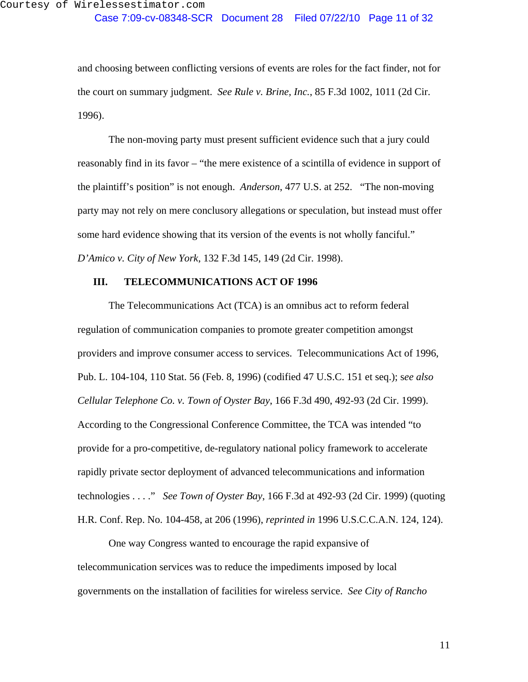and choosing between conflicting versions of events are roles for the fact finder, not for the court on summary judgment. *See Rule v. Brine, Inc.*, 85 F.3d 1002, 1011 (2d Cir. 1996).

The non-moving party must present sufficient evidence such that a jury could reasonably find in its favor – "the mere existence of a scintilla of evidence in support of the plaintiff's position" is not enough. *Anderson*, 477 U.S. at 252. "The non-moving party may not rely on mere conclusory allegations or speculation, but instead must offer some hard evidence showing that its version of the events is not wholly fanciful." *D'Amico v. City of New York*, 132 F.3d 145, 149 (2d Cir. 1998).

### **III. TELECOMMUNICATIONS ACT OF 1996**

The Telecommunications Act (TCA) is an omnibus act to reform federal regulation of communication companies to promote greater competition amongst providers and improve consumer access to services. Telecommunications Act of 1996, Pub. L. 104-104, 110 Stat. 56 (Feb. 8, 1996) (codified 47 U.S.C. 151 et seq.); s*ee also Cellular Telephone Co. v. Town of Oyster Bay*, 166 F.3d 490, 492-93 (2d Cir. 1999). According to the Congressional Conference Committee, the TCA was intended "to provide for a pro-competitive, de-regulatory national policy framework to accelerate rapidly private sector deployment of advanced telecommunications and information technologies . . . ." *See Town of Oyster Bay*, 166 F.3d at 492-93 (2d Cir. 1999) (quoting H.R. Conf. Rep. No. 104-458, at 206 (1996), *reprinted in* 1996 U.S.C.C.A.N. 124, 124).

One way Congress wanted to encourage the rapid expansive of telecommunication services was to reduce the impediments imposed by local governments on the installation of facilities for wireless service. *See City of Rancho*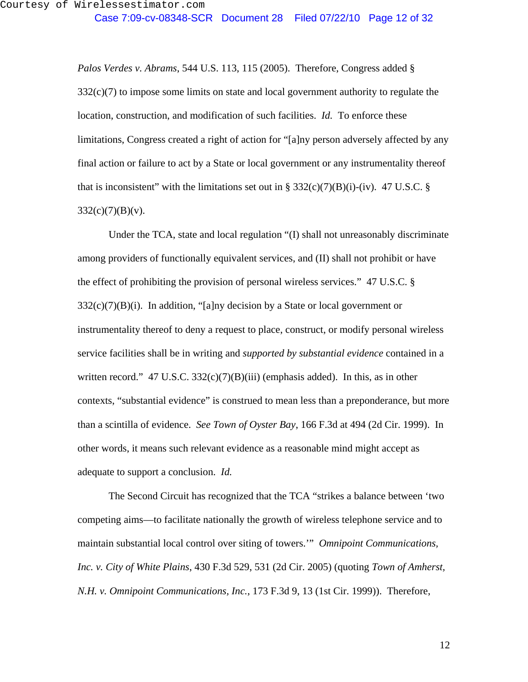*Palos Verdes v. Abrams*, 544 U.S. 113, 115 (2005). Therefore, Congress added §  $332(c)(7)$  to impose some limits on state and local government authority to regulate the location, construction, and modification of such facilities. *Id.* To enforce these limitations, Congress created a right of action for "[a]ny person adversely affected by any final action or failure to act by a State or local government or any instrumentality thereof that is inconsistent" with the limitations set out in § 332(c)(7)(B)(i)-(iv). 47 U.S.C. §  $332(c)(7)(B)(v)$ .

Under the TCA, state and local regulation "(I) shall not unreasonably discriminate among providers of functionally equivalent services, and (II) shall not prohibit or have the effect of prohibiting the provision of personal wireless services." 47 U.S.C. §  $332(c)(7)(B)(i)$ . In addition, "[a]ny decision by a State or local government or instrumentality thereof to deny a request to place, construct, or modify personal wireless service facilities shall be in writing and *supported by substantial evidence* contained in a written record." 47 U.S.C.  $332(c)(7)(B)(iii)$  (emphasis added). In this, as in other contexts, "substantial evidence" is construed to mean less than a preponderance, but more than a scintilla of evidence. *See Town of Oyster Bay*, 166 F.3d at 494 (2d Cir. 1999). In other words, it means such relevant evidence as a reasonable mind might accept as adequate to support a conclusion. *Id.*

The Second Circuit has recognized that the TCA "strikes a balance between 'two competing aims—to facilitate nationally the growth of wireless telephone service and to maintain substantial local control over siting of towers.'" *Omnipoint Communications, Inc. v. City of White Plains*, 430 F.3d 529, 531 (2d Cir. 2005) (quoting *Town of Amherst, N.H. v. Omnipoint Communications, Inc.*, 173 F.3d 9, 13 (1st Cir. 1999)).Therefore,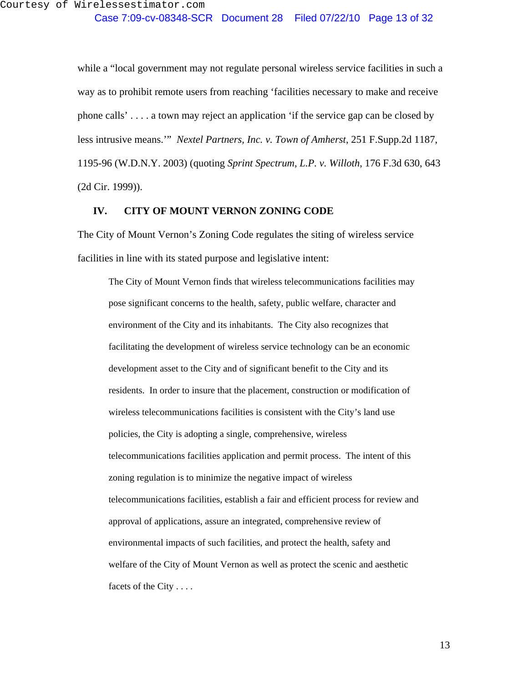while a "local government may not regulate personal wireless service facilities in such a way as to prohibit remote users from reaching 'facilities necessary to make and receive phone calls' . . . . a town may reject an application 'if the service gap can be closed by less intrusive means.'" *Nextel Partners, Inc. v. Town of Amherst*, 251 F.Supp.2d 1187, 1195-96 (W.D.N.Y. 2003) (quoting *Sprint Spectrum, L.P. v. Willoth*, 176 F.3d 630, 643 (2d Cir. 1999)).

### **IV. CITY OF MOUNT VERNON ZONING CODE**

The City of Mount Vernon's Zoning Code regulates the siting of wireless service facilities in line with its stated purpose and legislative intent:

The City of Mount Vernon finds that wireless telecommunications facilities may pose significant concerns to the health, safety, public welfare, character and environment of the City and its inhabitants. The City also recognizes that facilitating the development of wireless service technology can be an economic development asset to the City and of significant benefit to the City and its residents. In order to insure that the placement, construction or modification of wireless telecommunications facilities is consistent with the City's land use policies, the City is adopting a single, comprehensive, wireless telecommunications facilities application and permit process. The intent of this zoning regulation is to minimize the negative impact of wireless telecommunications facilities, establish a fair and efficient process for review and approval of applications, assure an integrated, comprehensive review of environmental impacts of such facilities, and protect the health, safety and welfare of the City of Mount Vernon as well as protect the scenic and aesthetic facets of the City . . . .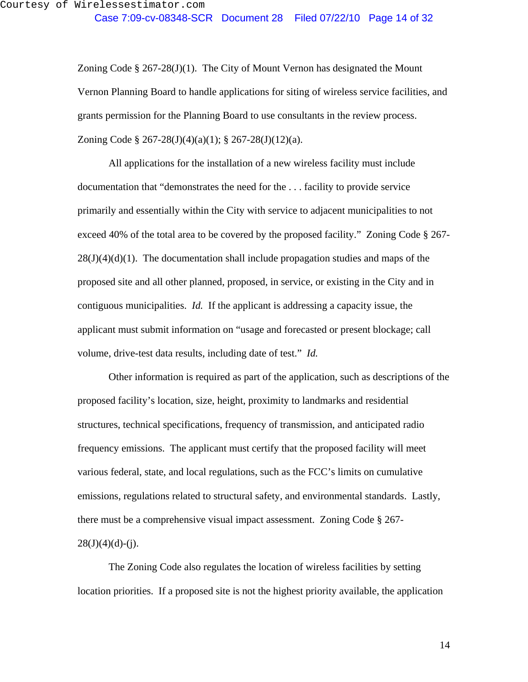Zoning Code  $\S 267-28(J)(1)$ . The City of Mount Vernon has designated the Mount Vernon Planning Board to handle applications for siting of wireless service facilities, and grants permission for the Planning Board to use consultants in the review process. Zoning Code § 267-28(J)(4)(a)(1); § 267-28(J)(12)(a).

 All applications for the installation of a new wireless facility must include documentation that "demonstrates the need for the . . . facility to provide service primarily and essentially within the City with service to adjacent municipalities to not exceed 40% of the total area to be covered by the proposed facility." Zoning Code § 267-  $28(J)(4)(d)(1)$ . The documentation shall include propagation studies and maps of the proposed site and all other planned, proposed, in service, or existing in the City and in contiguous municipalities. *Id.* If the applicant is addressing a capacity issue, the applicant must submit information on "usage and forecasted or present blockage; call volume, drive-test data results, including date of test." *Id.*

 Other information is required as part of the application, such as descriptions of the proposed facility's location, size, height, proximity to landmarks and residential structures, technical specifications, frequency of transmission, and anticipated radio frequency emissions. The applicant must certify that the proposed facility will meet various federal, state, and local regulations, such as the FCC's limits on cumulative emissions, regulations related to structural safety, and environmental standards. Lastly, there must be a comprehensive visual impact assessment. Zoning Code § 267-  $28(J)(4)(d)-(j).$ 

 The Zoning Code also regulates the location of wireless facilities by setting location priorities. If a proposed site is not the highest priority available, the application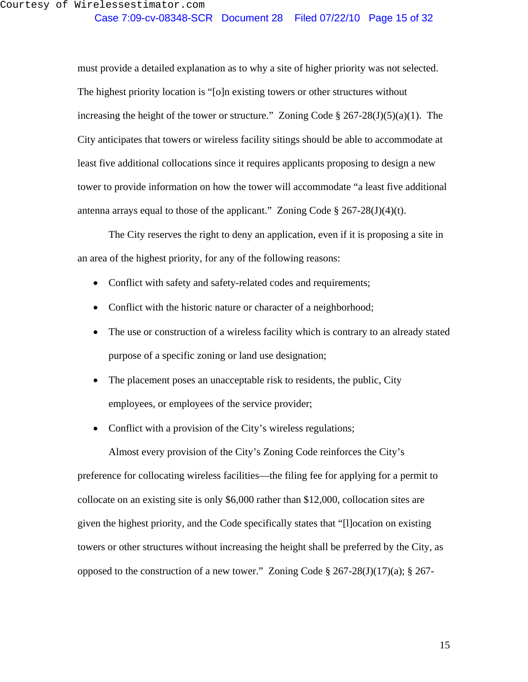must provide a detailed explanation as to why a site of higher priority was not selected. The highest priority location is "[o]n existing towers or other structures without increasing the height of the tower or structure." Zoning Code  $\S 267-28(J)(5)(a)(1)$ . The City anticipates that towers or wireless facility sitings should be able to accommodate at least five additional collocations since it requires applicants proposing to design a new tower to provide information on how the tower will accommodate "a least five additional antenna arrays equal to those of the applicant." Zoning Code  $\S 267-28(J)(4)(t)$ .

 The City reserves the right to deny an application, even if it is proposing a site in an area of the highest priority, for any of the following reasons:

- Conflict with safety and safety-related codes and requirements;
- Conflict with the historic nature or character of a neighborhood;
- The use or construction of a wireless facility which is contrary to an already stated purpose of a specific zoning or land use designation;
- The placement poses an unacceptable risk to residents, the public, City employees, or employees of the service provider;
- Conflict with a provision of the City's wireless regulations;

Almost every provision of the City's Zoning Code reinforces the City's preference for collocating wireless facilities—the filing fee for applying for a permit to collocate on an existing site is only \$6,000 rather than \$12,000, collocation sites are given the highest priority, and the Code specifically states that "[l]ocation on existing towers or other structures without increasing the height shall be preferred by the City, as opposed to the construction of a new tower." Zoning Code  $\S 267-28(J)(17)(a)$ ;  $\S 267-$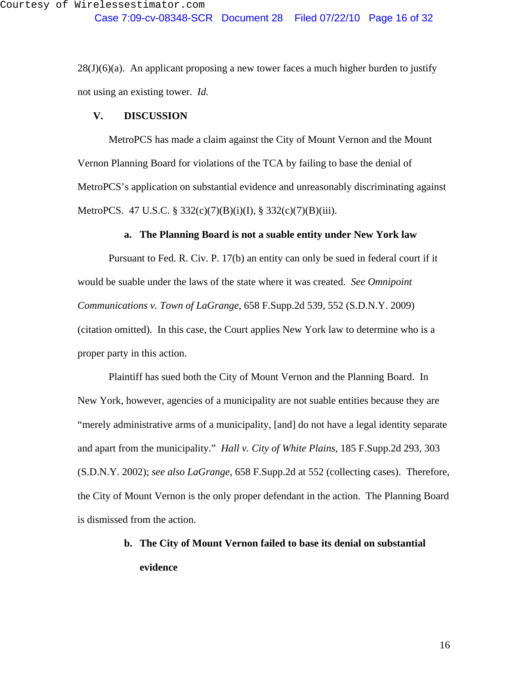Case 7:09-cv-08348-SCR Document 28 Filed 07/22/10 Page 16 of 32

 $28(J)(6)(a)$ . An applicant proposing a new tower faces a much higher burden to justify not using an existing tower. *Id.*

### **V. DISCUSSION**

MetroPCS has made a claim against the City of Mount Vernon and the Mount Vernon Planning Board for violations of the TCA by failing to base the denial of MetroPCS's application on substantial evidence and unreasonably discriminating against MetroPCS. 47 U.S.C. § 332(c)(7)(B)(i)(I), § 332(c)(7)(B)(iii).

### **a. The Planning Board is not a suable entity under New York law**

Pursuant to Fed. R. Civ. P. 17(b) an entity can only be sued in federal court if it would be suable under the laws of the state where it was created. *See Omnipoint Communications v. Town of LaGrange*, 658 F.Supp.2d 539, 552 (S.D.N.Y. 2009) (citation omitted). In this case, the Court applies New York law to determine who is a proper party in this action.

Plaintiff has sued both the City of Mount Vernon and the Planning Board. In New York, however, agencies of a municipality are not suable entities because they are "merely administrative arms of a municipality, [and] do not have a legal identity separate and apart from the municipality." *Hall v. City of White Plains,* 185 F.Supp.2d 293, 303 (S.D.N.Y. 2002); *see also LaGrange*, 658 F.Supp.2d at 552 (collecting cases). Therefore, the City of Mount Vernon is the only proper defendant in the action. The Planning Board is dismissed from the action.

# **b. The City of Mount Vernon failed to base its denial on substantial evidence**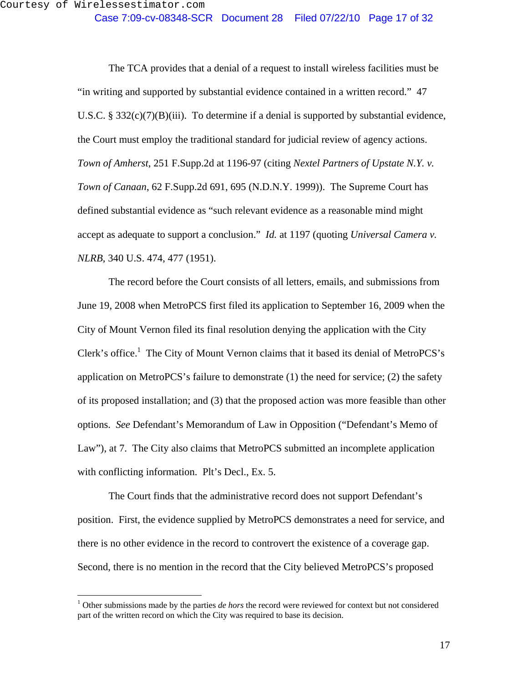The TCA provides that a denial of a request to install wireless facilities must be "in writing and supported by substantial evidence contained in a written record." 47 U.S.C. §  $332(c)(7)(B)(iii)$ . To determine if a denial is supported by substantial evidence, the Court must employ the traditional standard for judicial review of agency actions. *Town of Amherst*, 251 F.Supp.2d at 1196-97 (citing *Nextel Partners of Upstate N.Y. v. Town of Canaan*, 62 F.Supp.2d 691, 695 (N.D.N.Y. 1999)). The Supreme Court has defined substantial evidence as "such relevant evidence as a reasonable mind might accept as adequate to support a conclusion." *Id.* at 1197 (quoting *Universal Camera v. NLRB*, 340 U.S. 474, 477 (1951).

The record before the Court consists of all letters, emails, and submissions from June 19, 2008 when MetroPCS first filed its application to September 16, 2009 when the City of Mount Vernon filed its final resolution denying the application with the City Clerk's office.<sup>1</sup> The City of Mount Vernon claims that it based its denial of MetroPCS's application on MetroPCS's failure to demonstrate (1) the need for service; (2) the safety of its proposed installation; and (3) that the proposed action was more feasible than other options. *See* Defendant's Memorandum of Law in Opposition ("Defendant's Memo of Law"), at 7. The City also claims that MetroPCS submitted an incomplete application with conflicting information. Plt's Decl., Ex. 5.

The Court finds that the administrative record does not support Defendant's position. First, the evidence supplied by MetroPCS demonstrates a need for service, and there is no other evidence in the record to controvert the existence of a coverage gap. Second, there is no mention in the record that the City believed MetroPCS's proposed

 $\overline{a}$ 

<sup>&</sup>lt;sup>1</sup> Other submissions made by the parties *de hors* the record were reviewed for context but not considered part of the written record on which the City was required to base its decision.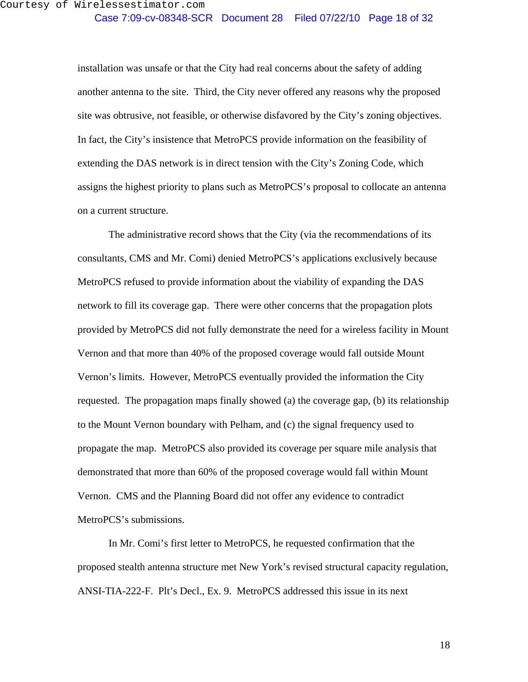installation was unsafe or that the City had real concerns about the safety of adding another antenna to the site. Third, the City never offered any reasons why the proposed site was obtrusive, not feasible, or otherwise disfavored by the City's zoning objectives. In fact, the City's insistence that MetroPCS provide information on the feasibility of extending the DAS network is in direct tension with the City's Zoning Code, which assigns the highest priority to plans such as MetroPCS's proposal to collocate an antenna on a current structure.

The administrative record shows that the City (via the recommendations of its consultants, CMS and Mr. Comi) denied MetroPCS's applications exclusively because MetroPCS refused to provide information about the viability of expanding the DAS network to fill its coverage gap. There were other concerns that the propagation plots provided by MetroPCS did not fully demonstrate the need for a wireless facility in Mount Vernon and that more than 40% of the proposed coverage would fall outside Mount Vernon's limits. However, MetroPCS eventually provided the information the City requested. The propagation maps finally showed (a) the coverage gap, (b) its relationship to the Mount Vernon boundary with Pelham, and (c) the signal frequency used to propagate the map. MetroPCS also provided its coverage per square mile analysis that demonstrated that more than 60% of the proposed coverage would fall within Mount Vernon. CMS and the Planning Board did not offer any evidence to contradict MetroPCS's submissions.

In Mr. Comi's first letter to MetroPCS, he requested confirmation that the proposed stealth antenna structure met New York's revised structural capacity regulation, ANSI-TIA-222-F. Plt's Decl., Ex. 9. MetroPCS addressed this issue in its next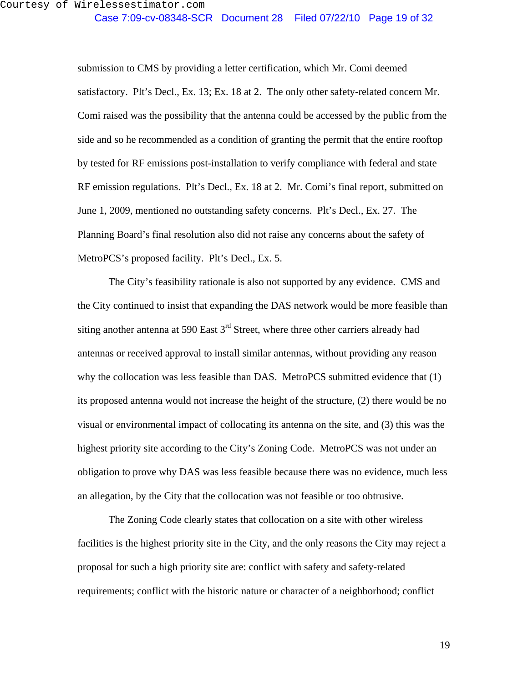Case 7:09-cv-08348-SCR Document 28 Filed 07/22/10 Page 19 of 32

submission to CMS by providing a letter certification, which Mr. Comi deemed satisfactory. Plt's Decl., Ex. 13; Ex. 18 at 2. The only other safety-related concern Mr. Comi raised was the possibility that the antenna could be accessed by the public from the side and so he recommended as a condition of granting the permit that the entire rooftop by tested for RF emissions post-installation to verify compliance with federal and state RF emission regulations. Plt's Decl., Ex. 18 at 2. Mr. Comi's final report, submitted on June 1, 2009, mentioned no outstanding safety concerns. Plt's Decl., Ex. 27. The Planning Board's final resolution also did not raise any concerns about the safety of MetroPCS's proposed facility. Plt's Decl., Ex. 5.

The City's feasibility rationale is also not supported by any evidence. CMS and the City continued to insist that expanding the DAS network would be more feasible than siting another antenna at 590 East  $3<sup>rd</sup>$  Street, where three other carriers already had antennas or received approval to install similar antennas, without providing any reason why the collocation was less feasible than DAS. MetroPCS submitted evidence that (1) its proposed antenna would not increase the height of the structure, (2) there would be no visual or environmental impact of collocating its antenna on the site, and (3) this was the highest priority site according to the City's Zoning Code. MetroPCS was not under an obligation to prove why DAS was less feasible because there was no evidence, much less an allegation, by the City that the collocation was not feasible or too obtrusive.

The Zoning Code clearly states that collocation on a site with other wireless facilities is the highest priority site in the City, and the only reasons the City may reject a proposal for such a high priority site are: conflict with safety and safety-related requirements; conflict with the historic nature or character of a neighborhood; conflict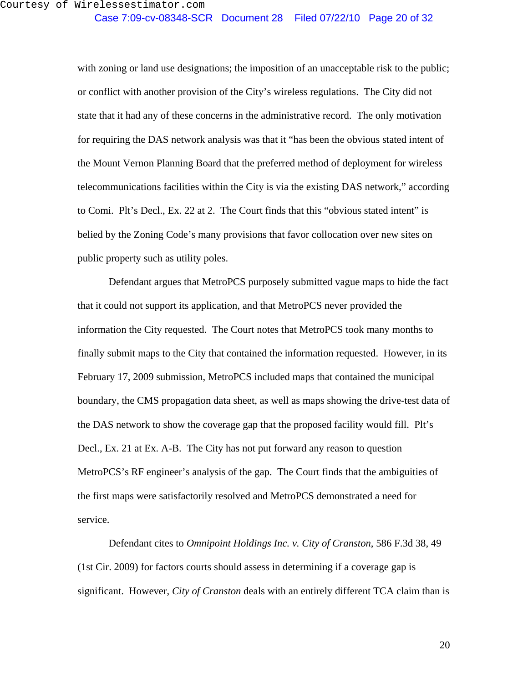with zoning or land use designations; the imposition of an unacceptable risk to the public; or conflict with another provision of the City's wireless regulations. The City did not state that it had any of these concerns in the administrative record. The only motivation for requiring the DAS network analysis was that it "has been the obvious stated intent of the Mount Vernon Planning Board that the preferred method of deployment for wireless telecommunications facilities within the City is via the existing DAS network," according to Comi. Plt's Decl., Ex. 22 at 2. The Court finds that this "obvious stated intent" is belied by the Zoning Code's many provisions that favor collocation over new sites on public property such as utility poles.

Defendant argues that MetroPCS purposely submitted vague maps to hide the fact that it could not support its application, and that MetroPCS never provided the information the City requested. The Court notes that MetroPCS took many months to finally submit maps to the City that contained the information requested. However, in its February 17, 2009 submission, MetroPCS included maps that contained the municipal boundary, the CMS propagation data sheet, as well as maps showing the drive-test data of the DAS network to show the coverage gap that the proposed facility would fill. Plt's Decl., Ex. 21 at Ex. A-B. The City has not put forward any reason to question MetroPCS's RF engineer's analysis of the gap. The Court finds that the ambiguities of the first maps were satisfactorily resolved and MetroPCS demonstrated a need for service.

Defendant cites to *Omnipoint Holdings Inc. v. City of Cranston*, 586 F.3d 38, 49 (1st Cir. 2009) for factors courts should assess in determining if a coverage gap is significant. However, *City of Cranston* deals with an entirely different TCA claim than is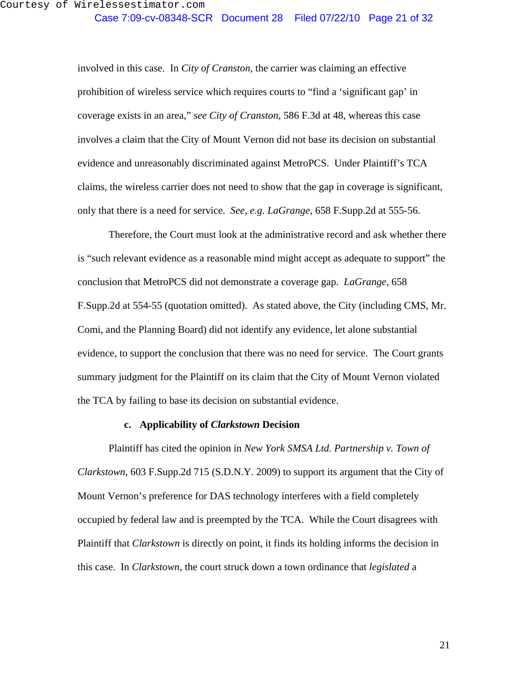involved in this case. In *City of Cranston*, the carrier was claiming an effective prohibition of wireless service which requires courts to "find a 'significant gap' in coverage exists in an area," *see City of Cranston*, 586 F.3d at 48, whereas this case involves a claim that the City of Mount Vernon did not base its decision on substantial evidence and unreasonably discriminated against MetroPCS. Under Plaintiff's TCA claims, the wireless carrier does not need to show that the gap in coverage is significant, only that there is a need for service. *See, e.g. LaGrange*, 658 F.Supp.2d at 555-56.

Therefore, the Court must look at the administrative record and ask whether there is "such relevant evidence as a reasonable mind might accept as adequate to support" the conclusion that MetroPCS did not demonstrate a coverage gap. *LaGrange*, 658 F.Supp.2d at 554-55 (quotation omitted). As stated above, the City (including CMS, Mr. Comi, and the Planning Board) did not identify any evidence, let alone substantial evidence, to support the conclusion that there was no need for service. The Court grants summary judgment for the Plaintiff on its claim that the City of Mount Vernon violated the TCA by failing to base its decision on substantial evidence.

### **c. Applicability of** *Clarkstown* **Decision**

Plaintiff has cited the opinion in *New York SMSA Ltd. Partnership v. Town of Clarkstown*, 603 F.Supp.2d 715 (S.D.N.Y. 2009) to support its argument that the City of Mount Vernon's preference for DAS technology interferes with a field completely occupied by federal law and is preempted by the TCA. While the Court disagrees with Plaintiff that *Clarkstown* is directly on point, it finds its holding informs the decision in this case. In *Clarkstown*, the court struck down a town ordinance that *legislated* a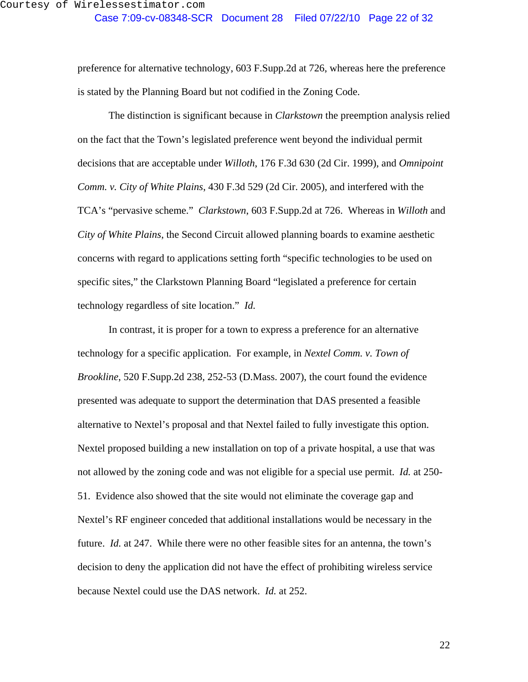preference for alternative technology, 603 F.Supp.2d at 726, whereas here the preference is stated by the Planning Board but not codified in the Zoning Code.

The distinction is significant because in *Clarkstown* the preemption analysis relied on the fact that the Town's legislated preference went beyond the individual permit decisions that are acceptable under *Willoth*, 176 F.3d 630 (2d Cir. 1999), and *Omnipoint Comm. v. City of White Plains*, 430 F.3d 529 (2d Cir. 2005), and interfered with the TCA's "pervasive scheme." *Clarkstown*, 603 F.Supp.2d at 726. Whereas in *Willoth* and *City of White Plains*, the Second Circuit allowed planning boards to examine aesthetic concerns with regard to applications setting forth "specific technologies to be used on specific sites," the Clarkstown Planning Board "legislated a preference for certain technology regardless of site location." *Id.*

In contrast, it is proper for a town to express a preference for an alternative technology for a specific application. For example, in *Nextel Comm. v. Town of Brookline*, 520 F.Supp.2d 238, 252-53 (D.Mass. 2007), the court found the evidence presented was adequate to support the determination that DAS presented a feasible alternative to Nextel's proposal and that Nextel failed to fully investigate this option. Nextel proposed building a new installation on top of a private hospital, a use that was not allowed by the zoning code and was not eligible for a special use permit. *Id.* at 250- 51. Evidence also showed that the site would not eliminate the coverage gap and Nextel's RF engineer conceded that additional installations would be necessary in the future. *Id.* at 247. While there were no other feasible sites for an antenna, the town's decision to deny the application did not have the effect of prohibiting wireless service because Nextel could use the DAS network. *Id.* at 252.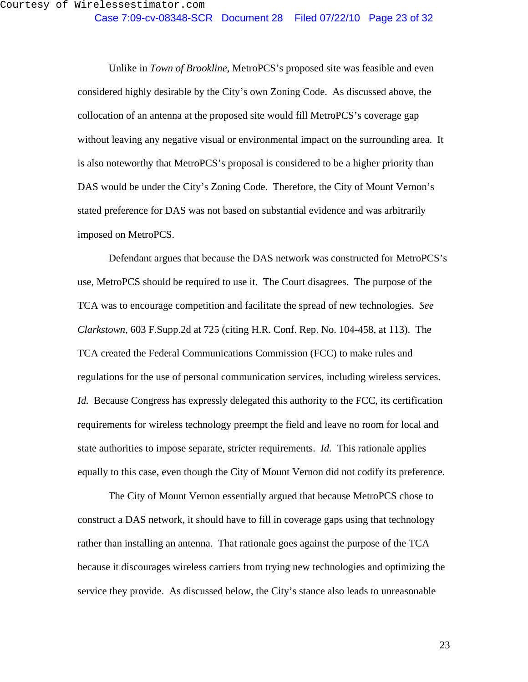Unlike in *Town of Brookline*, MetroPCS's proposed site was feasible and even considered highly desirable by the City's own Zoning Code. As discussed above, the collocation of an antenna at the proposed site would fill MetroPCS's coverage gap without leaving any negative visual or environmental impact on the surrounding area. It is also noteworthy that MetroPCS's proposal is considered to be a higher priority than DAS would be under the City's Zoning Code. Therefore, the City of Mount Vernon's stated preference for DAS was not based on substantial evidence and was arbitrarily imposed on MetroPCS.

Defendant argues that because the DAS network was constructed for MetroPCS's use, MetroPCS should be required to use it. The Court disagrees. The purpose of the TCA was to encourage competition and facilitate the spread of new technologies. *See Clarkstown*, 603 F.Supp.2d at 725 (citing H.R. Conf. Rep. No. 104-458, at 113). The TCA created the Federal Communications Commission (FCC) to make rules and regulations for the use of personal communication services, including wireless services. *Id.* Because Congress has expressly delegated this authority to the FCC, its certification requirements for wireless technology preempt the field and leave no room for local and state authorities to impose separate, stricter requirements. *Id.* This rationale applies equally to this case, even though the City of Mount Vernon did not codify its preference.

The City of Mount Vernon essentially argued that because MetroPCS chose to construct a DAS network, it should have to fill in coverage gaps using that technology rather than installing an antenna. That rationale goes against the purpose of the TCA because it discourages wireless carriers from trying new technologies and optimizing the service they provide. As discussed below, the City's stance also leads to unreasonable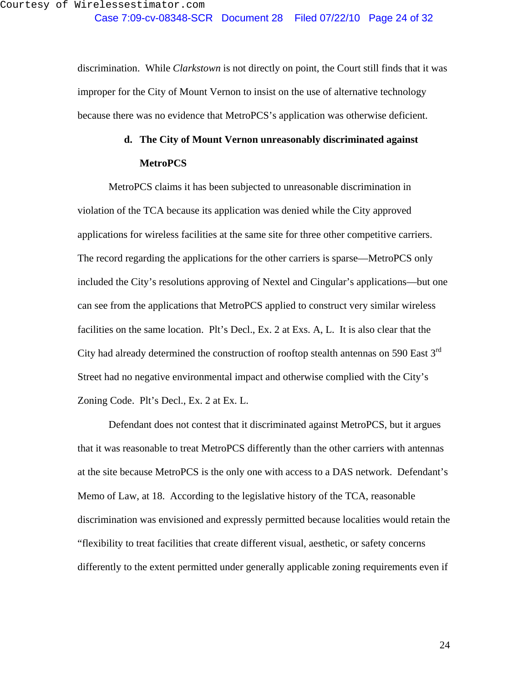discrimination. While *Clarkstown* is not directly on point, the Court still finds that it was improper for the City of Mount Vernon to insist on the use of alternative technology because there was no evidence that MetroPCS's application was otherwise deficient.

# **d. The City of Mount Vernon unreasonably discriminated against MetroPCS**

MetroPCS claims it has been subjected to unreasonable discrimination in violation of the TCA because its application was denied while the City approved applications for wireless facilities at the same site for three other competitive carriers. The record regarding the applications for the other carriers is sparse—MetroPCS only included the City's resolutions approving of Nextel and Cingular's applications—but one can see from the applications that MetroPCS applied to construct very similar wireless facilities on the same location. Plt's Decl., Ex. 2 at Exs. A, L. It is also clear that the City had already determined the construction of rooftop stealth antennas on 590 East  $3<sup>rd</sup>$ Street had no negative environmental impact and otherwise complied with the City's Zoning Code. Plt's Decl., Ex. 2 at Ex. L.

Defendant does not contest that it discriminated against MetroPCS, but it argues that it was reasonable to treat MetroPCS differently than the other carriers with antennas at the site because MetroPCS is the only one with access to a DAS network. Defendant's Memo of Law, at 18. According to the legislative history of the TCA, reasonable discrimination was envisioned and expressly permitted because localities would retain the "flexibility to treat facilities that create different visual, aesthetic, or safety concerns differently to the extent permitted under generally applicable zoning requirements even if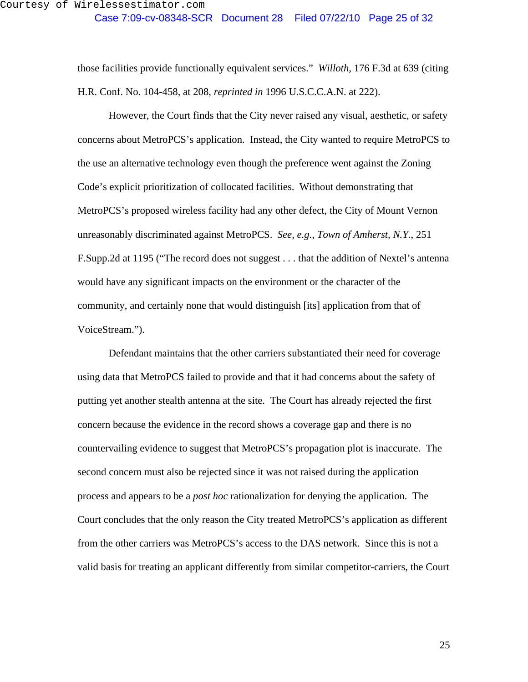those facilities provide functionally equivalent services." *Willoth*, 176 F.3d at 639 (citing H.R. Conf. No. 104-458, at 208, *reprinted in* 1996 U.S.C.C.A.N. at 222).

However, the Court finds that the City never raised any visual, aesthetic, or safety concerns about MetroPCS's application. Instead, the City wanted to require MetroPCS to the use an alternative technology even though the preference went against the Zoning Code's explicit prioritization of collocated facilities. Without demonstrating that MetroPCS's proposed wireless facility had any other defect, the City of Mount Vernon unreasonably discriminated against MetroPCS. *See, e.g.*, *Town of Amherst, N.Y.*, 251 F.Supp.2d at 1195 ("The record does not suggest . . . that the addition of Nextel's antenna would have any significant impacts on the environment or the character of the community, and certainly none that would distinguish [its] application from that of VoiceStream.").

Defendant maintains that the other carriers substantiated their need for coverage using data that MetroPCS failed to provide and that it had concerns about the safety of putting yet another stealth antenna at the site. The Court has already rejected the first concern because the evidence in the record shows a coverage gap and there is no countervailing evidence to suggest that MetroPCS's propagation plot is inaccurate. The second concern must also be rejected since it was not raised during the application process and appears to be a *post hoc* rationalization for denying the application. The Court concludes that the only reason the City treated MetroPCS's application as different from the other carriers was MetroPCS's access to the DAS network. Since this is not a valid basis for treating an applicant differently from similar competitor-carriers, the Court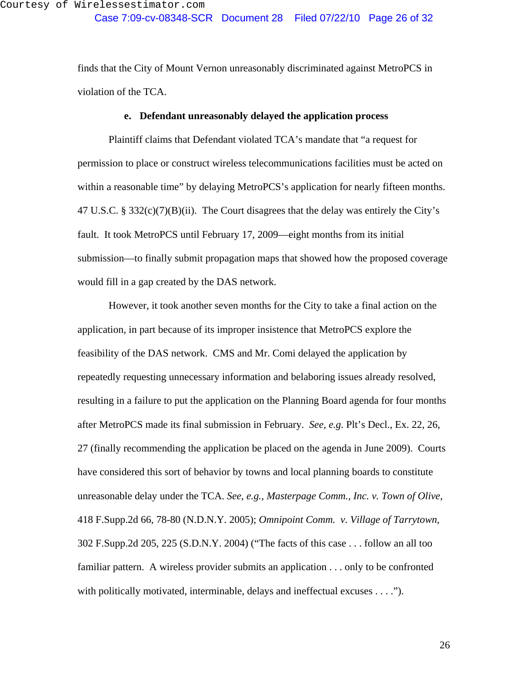finds that the City of Mount Vernon unreasonably discriminated against MetroPCS in violation of the TCA.

### **e. Defendant unreasonably delayed the application process**

Plaintiff claims that Defendant violated TCA's mandate that "a request for permission to place or construct wireless telecommunications facilities must be acted on within a reasonable time" by delaying MetroPCS's application for nearly fifteen months. 47 U.S.C. § 332 $(c)(7)(B)(ii)$ . The Court disagrees that the delay was entirely the City's fault. It took MetroPCS until February 17, 2009—eight months from its initial submission—to finally submit propagation maps that showed how the proposed coverage would fill in a gap created by the DAS network.

However, it took another seven months for the City to take a final action on the application, in part because of its improper insistence that MetroPCS explore the feasibility of the DAS network. CMS and Mr. Comi delayed the application by repeatedly requesting unnecessary information and belaboring issues already resolved, resulting in a failure to put the application on the Planning Board agenda for four months after MetroPCS made its final submission in February. *See, e.g.* Plt's Decl., Ex. 22, 26, 27 (finally recommending the application be placed on the agenda in June 2009). Courts have considered this sort of behavior by towns and local planning boards to constitute unreasonable delay under the TCA. *See, e.g.*, *Masterpage Comm., Inc. v. Town of Olive*, 418 F.Supp.2d 66, 78-80 (N.D.N.Y. 2005); *Omnipoint Comm. v. Village of Tarrytown*, 302 F.Supp.2d 205, 225 (S.D.N.Y. 2004) ("The facts of this case . . . follow an all too familiar pattern. A wireless provider submits an application . . . only to be confronted with politically motivated, interminable, delays and ineffectual excuses . . . .").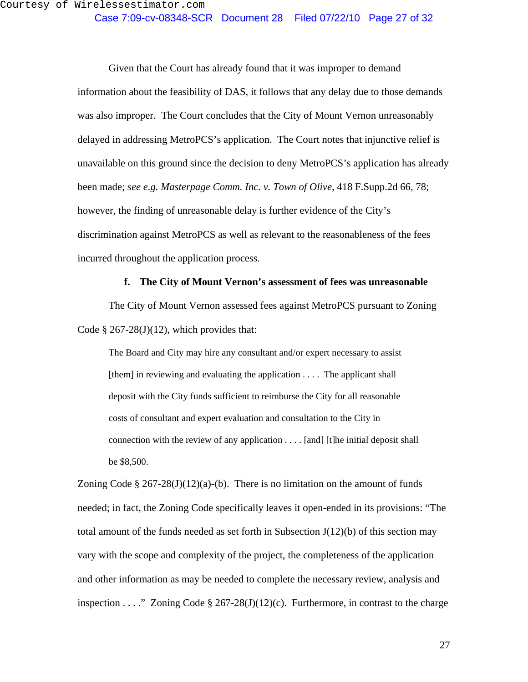Given that the Court has already found that it was improper to demand information about the feasibility of DAS, it follows that any delay due to those demands was also improper. The Court concludes that the City of Mount Vernon unreasonably delayed in addressing MetroPCS's application. The Court notes that injunctive relief is unavailable on this ground since the decision to deny MetroPCS's application has already been made; *see e.g. Masterpage Comm. Inc. v. Town of Olive*, 418 F.Supp.2d 66, 78; however, the finding of unreasonable delay is further evidence of the City's discrimination against MetroPCS as well as relevant to the reasonableness of the fees incurred throughout the application process.

#### **f. The City of Mount Vernon's assessment of fees was unreasonable**

The City of Mount Vernon assessed fees against MetroPCS pursuant to Zoning Code  $\S 267-28(J)(12)$ , which provides that:

The Board and City may hire any consultant and/or expert necessary to assist  $[them]$  in reviewing and evaluating the application  $\ldots$ . The applicant shall deposit with the City funds sufficient to reimburse the City for all reasonable costs of consultant and expert evaluation and consultation to the City in connection with the review of any application . . . . [and] [t]he initial deposit shall be \$8,500.

Zoning Code § 267-28(J)(12)(a)-(b). There is no limitation on the amount of funds needed; in fact, the Zoning Code specifically leaves it open-ended in its provisions: "The total amount of the funds needed as set forth in Subsection  $J(12)(b)$  of this section may vary with the scope and complexity of the project, the completeness of the application and other information as may be needed to complete the necessary review, analysis and inspection . . . ." Zoning Code  $\S 267-28(J)(12)(c)$ . Furthermore, in contrast to the charge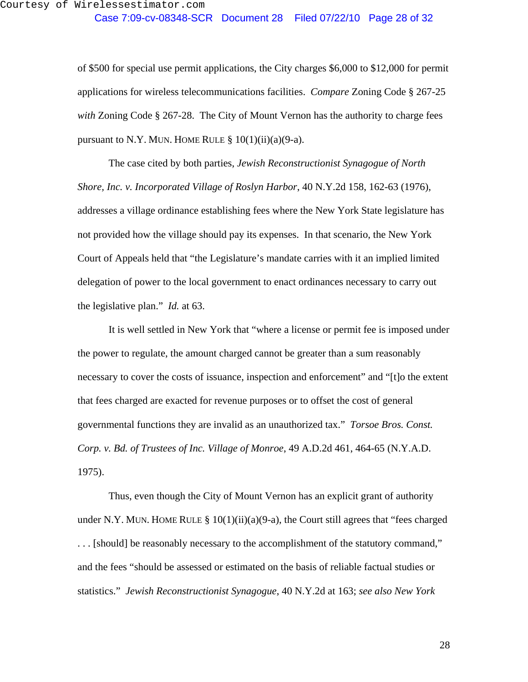of \$500 for special use permit applications, the City charges \$6,000 to \$12,000 for permit applications for wireless telecommunications facilities. *Compare* Zoning Code § 267-25 *with* Zoning Code § 267-28. The City of Mount Vernon has the authority to charge fees pursuant to N.Y. MUN. HOME RULE  $\S 10(1)(ii)(a)(9-a)$ .

The case cited by both parties, *Jewish Reconstructionist Synagogue of North Shore, Inc. v. Incorporated Village of Roslyn Harbor*, 40 N.Y.2d 158, 162-63 (1976), addresses a village ordinance establishing fees where the New York State legislature has not provided how the village should pay its expenses. In that scenario, the New York Court of Appeals held that "the Legislature's mandate carries with it an implied limited delegation of power to the local government to enact ordinances necessary to carry out the legislative plan." *Id.* at 63.

It is well settled in New York that "where a license or permit fee is imposed under the power to regulate, the amount charged cannot be greater than a sum reasonably necessary to cover the costs of issuance, inspection and enforcement" and "[t]o the extent that fees charged are exacted for revenue purposes or to offset the cost of general governmental functions they are invalid as an unauthorized tax." *Torsoe Bros. Const. Corp. v. Bd. of Trustees of Inc. Village of Monroe*, 49 A.D.2d 461, 464-65 (N.Y.A.D. 1975).

Thus, even though the City of Mount Vernon has an explicit grant of authority under N.Y. MUN. HOME RULE  $\S 10(1)(ii)(a)(9-a)$ , the Court still agrees that "fees charged . . . [should] be reasonably necessary to the accomplishment of the statutory command," and the fees "should be assessed or estimated on the basis of reliable factual studies or statistics." *Jewish Reconstructionist Synagogue*, 40 N.Y.2d at 163; *see also New York*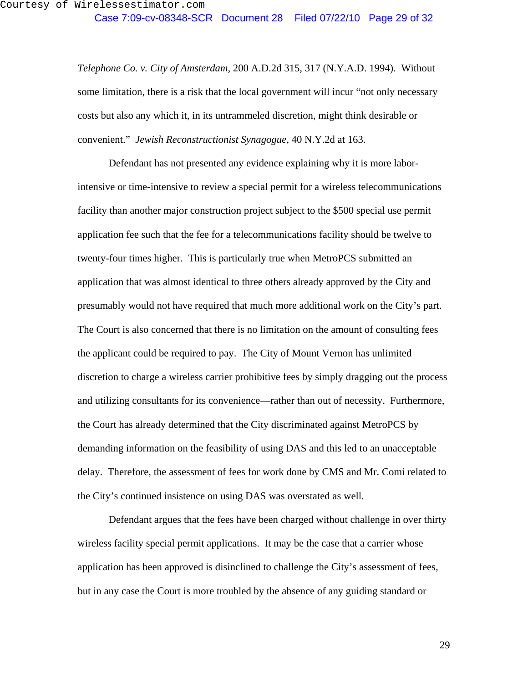*Telephone Co. v. City of Amsterdam*, 200 A.D.2d 315, 317 (N.Y.A.D. 1994). Without some limitation, there is a risk that the local government will incur "not only necessary costs but also any which it, in its untrammeled discretion, might think desirable or convenient." *Jewish Reconstructionist Synagogue*, 40 N.Y.2d at 163.

Defendant has not presented any evidence explaining why it is more laborintensive or time-intensive to review a special permit for a wireless telecommunications facility than another major construction project subject to the \$500 special use permit application fee such that the fee for a telecommunications facility should be twelve to twenty-four times higher. This is particularly true when MetroPCS submitted an application that was almost identical to three others already approved by the City and presumably would not have required that much more additional work on the City's part. The Court is also concerned that there is no limitation on the amount of consulting fees the applicant could be required to pay. The City of Mount Vernon has unlimited discretion to charge a wireless carrier prohibitive fees by simply dragging out the process and utilizing consultants for its convenience—rather than out of necessity. Furthermore, the Court has already determined that the City discriminated against MetroPCS by demanding information on the feasibility of using DAS and this led to an unacceptable delay. Therefore, the assessment of fees for work done by CMS and Mr. Comi related to the City's continued insistence on using DAS was overstated as well.

Defendant argues that the fees have been charged without challenge in over thirty wireless facility special permit applications. It may be the case that a carrier whose application has been approved is disinclined to challenge the City's assessment of fees, but in any case the Court is more troubled by the absence of any guiding standard or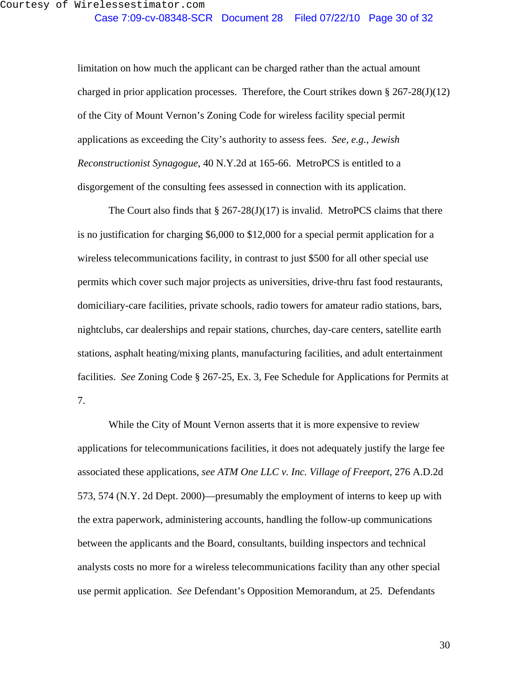limitation on how much the applicant can be charged rather than the actual amount charged in prior application processes. Therefore, the Court strikes down  $\S 267-28(J)(12)$ of the City of Mount Vernon's Zoning Code for wireless facility special permit applications as exceeding the City's authority to assess fees. *See, e.g.*, *Jewish Reconstructionist Synagogue*, 40 N.Y.2d at 165-66. MetroPCS is entitled to a disgorgement of the consulting fees assessed in connection with its application.

The Court also finds that  $\S 267-28(J)(17)$  is invalid. MetroPCS claims that there is no justification for charging \$6,000 to \$12,000 for a special permit application for a wireless telecommunications facility, in contrast to just \$500 for all other special use permits which cover such major projects as universities, drive-thru fast food restaurants, domiciliary-care facilities, private schools, radio towers for amateur radio stations, bars, nightclubs, car dealerships and repair stations, churches, day-care centers, satellite earth stations, asphalt heating/mixing plants, manufacturing facilities, and adult entertainment facilities. *See* Zoning Code § 267-25, Ex. 3, Fee Schedule for Applications for Permits at 7.

While the City of Mount Vernon asserts that it is more expensive to review applications for telecommunications facilities, it does not adequately justify the large fee associated these applications, *see ATM One LLC v. Inc. Village of Freeport*, 276 A.D.2d 573, 574 (N.Y. 2d Dept. 2000)—presumably the employment of interns to keep up with the extra paperwork, administering accounts, handling the follow-up communications between the applicants and the Board, consultants, building inspectors and technical analysts costs no more for a wireless telecommunications facility than any other special use permit application. *See* Defendant's Opposition Memorandum, at 25. Defendants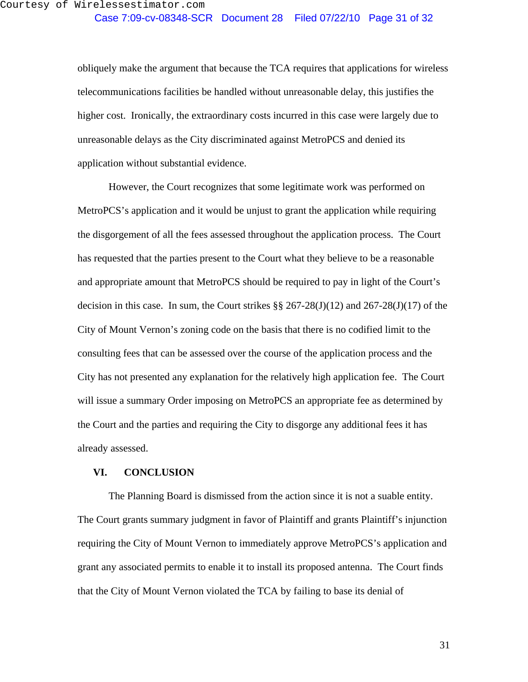obliquely make the argument that because the TCA requires that applications for wireless telecommunications facilities be handled without unreasonable delay, this justifies the higher cost. Ironically, the extraordinary costs incurred in this case were largely due to unreasonable delays as the City discriminated against MetroPCS and denied its application without substantial evidence.

However, the Court recognizes that some legitimate work was performed on MetroPCS's application and it would be unjust to grant the application while requiring the disgorgement of all the fees assessed throughout the application process. The Court has requested that the parties present to the Court what they believe to be a reasonable and appropriate amount that MetroPCS should be required to pay in light of the Court's decision in this case. In sum, the Court strikes  $\S$  267-28(J)(12) and 267-28(J)(17) of the City of Mount Vernon's zoning code on the basis that there is no codified limit to the consulting fees that can be assessed over the course of the application process and the City has not presented any explanation for the relatively high application fee. The Court will issue a summary Order imposing on MetroPCS an appropriate fee as determined by the Court and the parties and requiring the City to disgorge any additional fees it has already assessed.

### **VI. CONCLUSION**

The Planning Board is dismissed from the action since it is not a suable entity. The Court grants summary judgment in favor of Plaintiff and grants Plaintiff's injunction requiring the City of Mount Vernon to immediately approve MetroPCS's application and grant any associated permits to enable it to install its proposed antenna. The Court finds that the City of Mount Vernon violated the TCA by failing to base its denial of